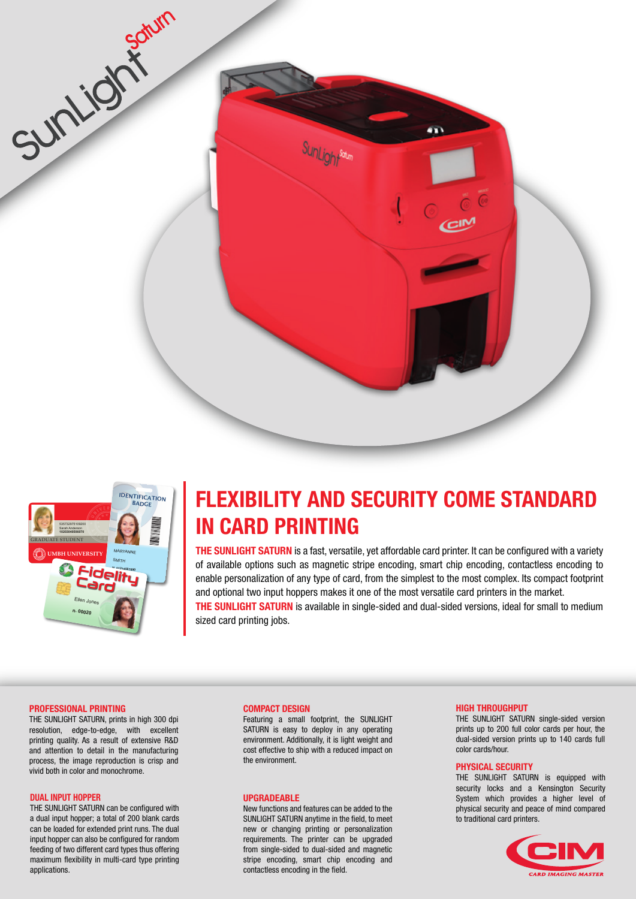



# **FLEXIBILITY AND SECURITY COME STANDARD IN CARD PRINTING**

**THE SUNLIGHT SATURN** is a fast, versatile, yet affordable card printer. It can be configured with a variety of available options such as magnetic stripe encoding, smart chip encoding, contactless encoding to enable personalization of any type of card, from the simplest to the most complex. Its compact footprint and optional two input hoppers makes it one of the most versatile card printers in the market. **THE SUNLIGHT SATURN** is available in single-sided and dual-sided versions, ideal for small to medium

sized card printing jobs.

#### **PROFESSIONAL PRINTING**

THE SUNLIGHT SATURN, prints in high 300 dpi resolution, edge-to-edge, with excellent printing quality. As a result of extensive R&D and attention to detail in the manufacturing process, the image reproduction is crisp and vivid both in color and monochrome.

#### **DUAL INPUT HOPPER**

THE SUNLIGHT SATURN can be configured with a dual input hopper; a total of 200 blank cards can be loaded for extended print runs. The dual input hopper can also be configured for random feeding of two different card types thus offering maximum flexibility in multi-card type printing applications.

## **COMPACT DESIGN**

Featuring a small footprint, the SUNLIGHT SATURN is easy to deploy in any operating environment. Additionally, it is light weight and cost effective to ship with a reduced impact on the environment.

### **UPGRADEABLE**

New functions and features can be added to the SUNLIGHT SATURN anytime in the field, to meet new or changing printing or personalization requirements. The printer can be upgraded from single-sided to dual-sided and magnetic stripe encoding, smart chip encoding and contactless encoding in the field.

#### **HIGH THROUGHPUT**

THE SUNLIGHT SATURN single-sided version prints up to 200 full color cards per hour, the dual-sided version prints up to 140 cards full color cards/hour.

## **PHYSICAL SECURITY**

THE SUNLIGHT SATURN is equipped with security locks and a Kensington Security System which provides a higher level of physical security and peace of mind compared to traditional card printers.